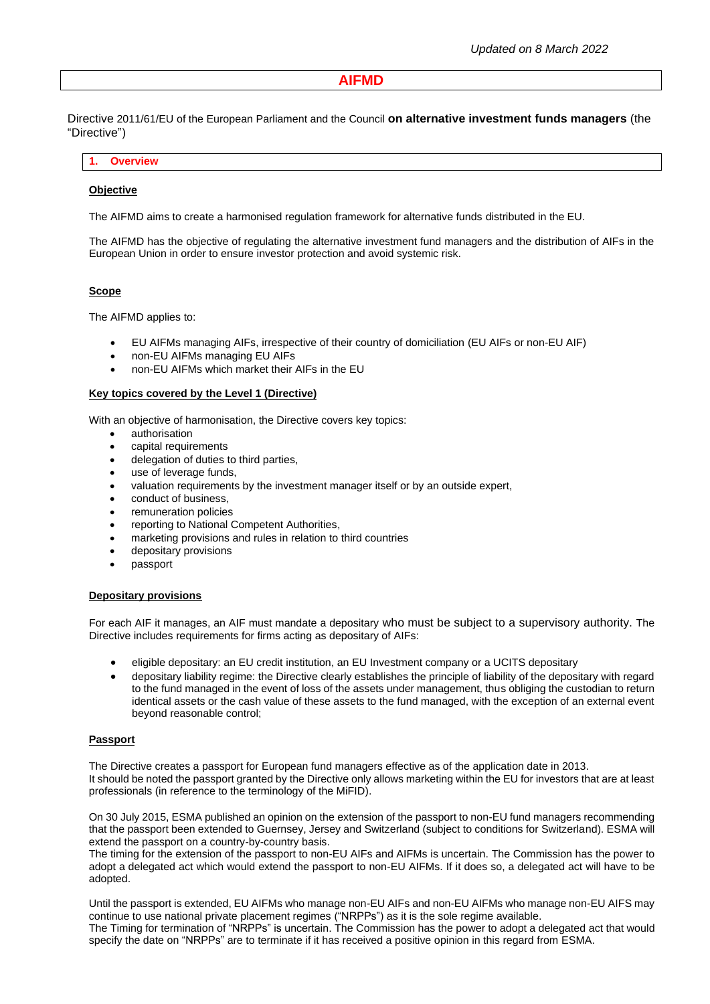# **AIFMD**

Directive 2011/61/EU of the European Parliament and the Council **on alternative investment funds managers** (the "Directive")

## **1. Overview**

### **Objective**

The AIFMD aims to create a harmonised regulation framework for alternative funds distributed in the EU.

The AIFMD has the objective of regulating the alternative investment fund managers and the distribution of AIFs in the European Union in order to ensure investor protection and avoid systemic risk.

### **Scope**

The AIFMD applies to:

- EU AIFMs managing AIFs, irrespective of their country of domiciliation (EU AIFs or non-EU AIF)
- non-EU AIFMs managing EU AIFs
- non-EU AIFMs which market their AIFs in the EU

#### **Key topics covered by the Level 1 (Directive)**

With an objective of harmonisation, the Directive covers key topics:

- authorisation
- capital requirements
- delegation of duties to third parties,
- use of leverage funds,
- valuation requirements by the investment manager itself or by an outside expert,
- conduct of business,
- remuneration policies
- reporting to National Competent Authorities,
- marketing provisions and rules in relation to third countries
- depositary provisions
- passport

#### **Depositary provisions**

For each AIF it manages, an AIF must mandate a depositary who must be subject to a supervisory authority. The Directive includes requirements for firms acting as depositary of AIFs:

- eligible depositary: an EU credit institution, an EU Investment company or a UCITS depositary
- depositary liability regime: the Directive clearly establishes the principle of liability of the depositary with regard to the fund managed in the event of loss of the assets under management, thus obliging the custodian to return identical assets or the cash value of these assets to the fund managed, with the exception of an external event beyond reasonable control;

### **Passport**

The Directive creates a passport for European fund managers effective as of the application date in 2013. It should be noted the passport granted by the Directive only allows marketing within the EU for investors that are at least professionals (in reference to the terminology of the MiFID).

On 30 July 2015, ESMA published an opinion on the extension of the passport to non-EU fund managers recommending that the passport been extended to Guernsey, Jersey and Switzerland (subject to conditions for Switzerland). ESMA will extend the passport on a country-by-country basis.

The timing for the extension of the passport to non-EU AIFs and AIFMs is uncertain. The Commission has the power to adopt a delegated act which would extend the passport to non-EU AIFMs. If it does so, a delegated act will have to be adopted.

Until the passport is extended, EU AIFMs who manage non-EU AIFs and non-EU AIFMs who manage non-EU AIFS may continue to use national private placement regimes ("NRPPs") as it is the sole regime available.

The Timing for termination of "NRPPs" is uncertain. The Commission has the power to adopt a delegated act that would specify the date on "NRPPs" are to terminate if it has received a positive opinion in this regard from ESMA.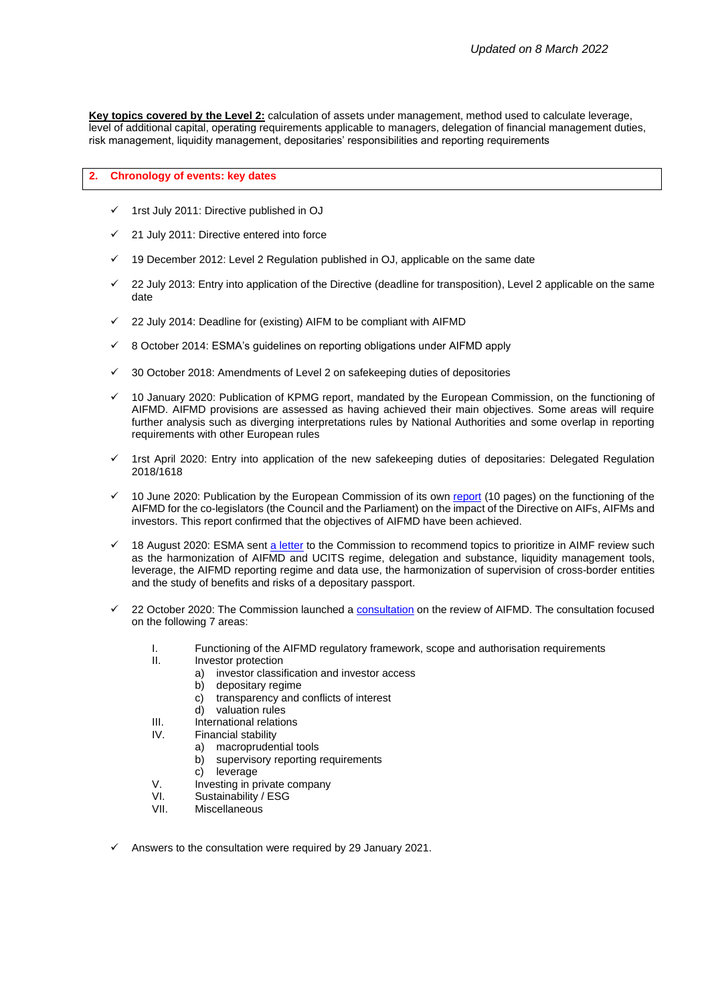**Key topics covered by the Level 2:** calculation of assets under management, method used to calculate leverage, level of additional capital, operating requirements applicable to managers, delegation of financial management duties, risk management, liquidity management, depositaries' responsibilities and reporting requirements

### **2. Chronology of events: key dates**

- 1rst July 2011: Directive published in OJ
- 21 July 2011: Directive entered into force
- 19 December 2012: Level 2 Regulation published in OJ, applicable on the same date
- 22 July 2013: Entry into application of the Directive (deadline for transposition), Level 2 applicable on the same date
- 22 July 2014: Deadline for (existing) AIFM to be compliant with AIFMD
- ✓ 8 October 2014: ESMA's guidelines on reporting obligations under AIFMD apply
- 30 October 2018: Amendments of Level 2 on safekeeping duties of depositories
- 10 January 2020: Publication of KPMG report, mandated by the European Commission, on the functioning of AIFMD. AIFMD provisions are assessed as having achieved their main objectives. Some areas will require further analysis such as diverging interpretations rules by National Authorities and some overlap in reporting requirements with other European rules
- 1rst April 2020: Entry into application of the new safekeeping duties of depositaries: Delegated Regulation 2018/1618
- 10 June 2020: Publication by the European Commission of its own [report](https://ec.europa.eu/transparency/regdoc/rep/1/2020/EN/COM-2020-232-F1-EN-MAIN-PART-1.PDF) (10 pages) on the functioning of the AIFMD for the co-legislators (the Council and the Parliament) on the impact of the Directive on AIFs, AIFMs and investors. This report confirmed that the objectives of AIFMD have been achieved.
- 18 August 2020: ESMA sent [a letter](https://www.esma.europa.eu/sites/default/files/library/esma34-32-551_esma_letter_on_aifmd_review.pdf) to the Commission to recommend topics to prioritize in AIMF review such as the harmonization of AIFMD and UCITS regime, delegation and substance, liquidity management tools, leverage, the AIFMD reporting regime and data use, the harmonization of supervision of cross-border entities and the study of benefits and risks of a depositary passport.
- 22 October 2020: The Commission launched a [consultation](https://ec.europa.eu/info/files/2020-aifmd-review-consultation-document_en) on the review of AIFMD. The consultation focused on the following 7 areas:
	- I. Functioning of the AIFMD regulatory framework, scope and authorisation requirements
	- Investor protection
		- a) investor classification and investor access
		- b) depositary regime
		- c) transparency and conflicts of interest<br>d) valuation rules
		- valuation rules
	- III. International relations
	- IV. Financial stability
		- a) macroprudential tools
		- b) supervisory reporting requirements
		- c) leverage
	- V. Investing in private company
	- VI. Sustainability / ESG
	- VII. Miscellaneous
- Answers to the consultation were required by 29 January 2021.